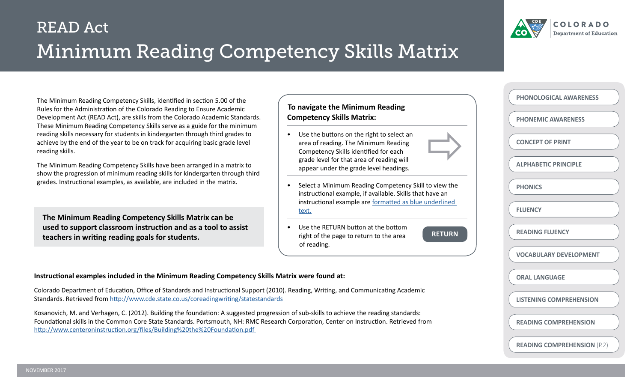



**PHONEMIC AWARENESS**

**CONCEPT OF PRINT**

**PHONICS**

**FLUENCY**

**ALPHABETIC PRINCIPLE**

**PHONOLOGICAL AWARENESS**

The Minimum Reading Competency Skills, identified in section 5.00 of the Rules for the Administration of the Colorado Reading to Ensure Academic Development Act (READ Act), are skills from the Colorado Academic Standards. These Minimum Reading Competency Skills serve as a guide for the minimum reading skills necessary for students in kindergarten through third grades to achieve by the end of the year to be on track for acquiring basic grade level reading skills.

The Minimum Reading Competency Skills have been arranged in a matrix to show the progression of minimum reading skills for kindergarten through third grades. Instructional examples, as available, are included in the matrix.

**The Minimum Reading Competency Skills Matrix can be used to support classroom instruction and as a tool to assist teachers in writing reading goals for students.**

#### **To navigate the Minimum Reading Competency Skills Matrix:**

- Use the buttons on the right to select an area of reading. The Minimum Reading Competency Skills identified for each grade level for that area of reading will appear under the grade level headings.
- Select a Minimum Reading Competency Skill to view the instructional example, if available. Skills that have an instructional example are formatted as blue underlined text.
- Use the RETURN button at the bottom right of the page to return to the area of reading.

**RETURN**

**VOCABULARY DEVELOPMENT**

**ORAL LANGUAGE**

**READING FLUENCY**

**LISTENING COMPREHENSION**

**READING COMPREHENSION**

**READING COMPREHENSION** (P.2)

#### **Instructional examples included in the Minimum Reading Competency Skills Matrix were found at:**

Colorado Department of Education, Office of Standards and Instructional Support (2010). Reading, Writing, and Communicating Academic Standards. Retrieved from <http://www.cde.state.co.us/coreadingwriting/statestandards>

Kosanovich, M. and Verhagen, C. (2012). Building the foundation: A suggested progression of sub-skills to achieve the reading standards: Foundational skills in the Common Core State Standards. Portsmouth, NH: RMC Research Corporation, Center on Instruction. Retrieved from [http://www.centeroninstruction.org/files/Building%20the%20Foundation.pdf](http://www.centeroninstruction.org/files/Building%20the%20Foundation.pdf )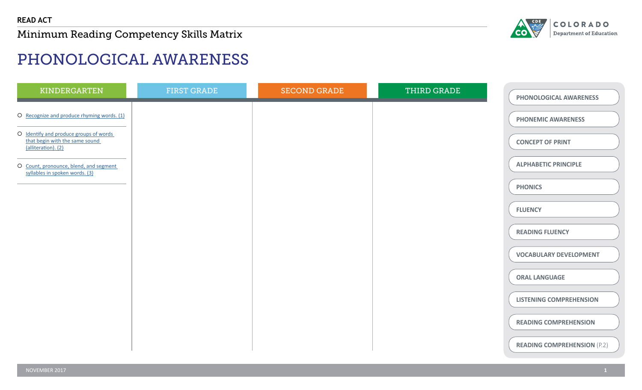

# PHONOLOGICAL AWARENESS

| KINDERGARTEN                                                                                    | <b>FIRST GRADE</b> | <b>SECOND GRADE</b> | THIRD GRADE | PHONOLOGICAL AWARENESS             |
|-------------------------------------------------------------------------------------------------|--------------------|---------------------|-------------|------------------------------------|
| O Recognize and produce rhyming words. (1)                                                      |                    |                     |             | <b>PHONEMIC AWARENESS</b>          |
| O Identify and produce groups of words<br>that begin with the same sound<br>(alliteration). (2) |                    |                     |             | <b>CONCEPT OF PRINT</b>            |
| O Count, pronounce, blend, and segment<br>syllables in spoken words. (3)                        |                    |                     |             | <b>ALPHABETIC PRINCIPLE</b>        |
|                                                                                                 |                    |                     |             | <b>PHONICS</b>                     |
|                                                                                                 |                    |                     |             | <b>FLUENCY</b>                     |
|                                                                                                 |                    |                     |             | <b>READING FLUENCY</b>             |
|                                                                                                 |                    |                     |             | <b>VOCABULARY DEVELOPMENT</b>      |
|                                                                                                 |                    |                     |             | <b>ORAL LANGUAGE</b>               |
|                                                                                                 |                    |                     |             | <b>LISTENING COMPREHENSION</b>     |
|                                                                                                 |                    |                     |             | <b>READING COMPREHENSION</b>       |
|                                                                                                 |                    |                     |             | <b>READING COMPREHENSION (P.2)</b> |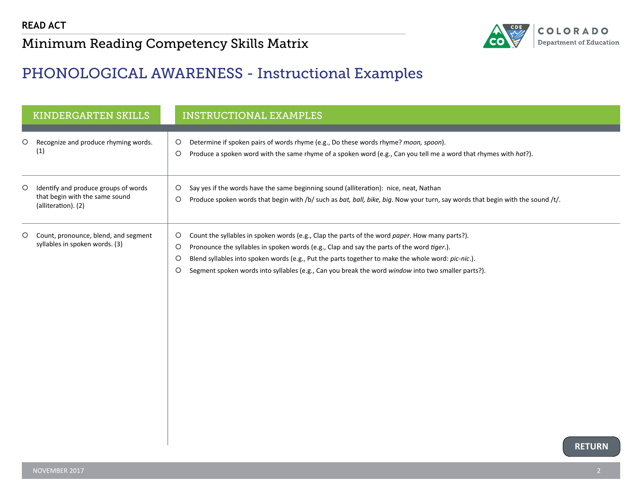

#### <span id="page-2-0"></span>PHONOLOGICAL AWARENESS - Instructional Examples

|         | <b>KINDERGARTEN SKILLS</b>                                                                    |                                    | <b>INSTRUCTIONAL EXAMPLES</b>                                                                                                                                                                                                                                                                                                                                                                            |               |
|---------|-----------------------------------------------------------------------------------------------|------------------------------------|----------------------------------------------------------------------------------------------------------------------------------------------------------------------------------------------------------------------------------------------------------------------------------------------------------------------------------------------------------------------------------------------------------|---------------|
| $\circ$ | Recognize and produce rhyming words.<br>(1)                                                   | O<br>$\circ$                       | Determine if spoken pairs of words rhyme (e.g., Do these words rhyme? moon, spoon).<br>Produce a spoken word with the same rhyme of a spoken word (e.g., Can you tell me a word that rhymes with hat?).                                                                                                                                                                                                  |               |
| $\circ$ | Identify and produce groups of words<br>that begin with the same sound<br>(alliteration). (2) | $\circ$<br>$\circ$                 | Say yes if the words have the same beginning sound (alliteration): nice, neat, Nathan<br>Produce spoken words that begin with /b/ such as bat, ball, bike, big. Now your turn, say words that begin with the sound /t/.                                                                                                                                                                                  |               |
| $\circ$ | Count, pronounce, blend, and segment<br>syllables in spoken words. (3)                        | O<br>$\circ$<br>$\circ$<br>$\circ$ | Count the syllables in spoken words (e.g., Clap the parts of the word paper. How many parts?).<br>Pronounce the syllables in spoken words (e.g., Clap and say the parts of the word tiger.).<br>Blend syllables into spoken words (e.g., Put the parts together to make the whole word: pic-nic.).<br>Segment spoken words into syllables (e.g., Can you break the word window into two smaller parts?). |               |
|         |                                                                                               |                                    |                                                                                                                                                                                                                                                                                                                                                                                                          | <b>RETURN</b> |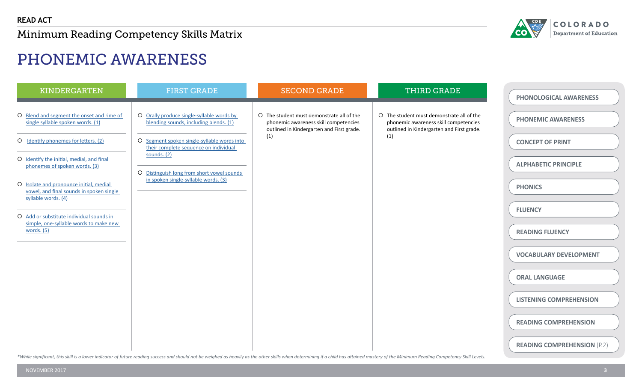

# PHONEMIC AWARENESS

| O Blend and segment the onset and rime of<br>O The student must demonstrate all of the<br>O The student must demonstrate all of the<br>O Orally produce single-syllable words by<br>single syllable spoken words. (1)<br>blending sounds, including blends. (1)<br>phonemic awareness skill competencies<br>phonemic awareness skill competencies<br>outlined in Kindergarten and First grade.<br>outlined in Kindergarten and First grade.<br>(1)<br>(1)<br>O Identify phonemes for letters. (2)<br>O Segment spoken single-syllable words into<br>their complete sequence on individual<br>sounds. $(2)$<br>O Identify the initial, medial, and final<br>phonemes of spoken words. (3)<br>O Distinguish long from short vowel sounds<br>in spoken single-syllable words. (3)<br>O Isolate and pronounce initial, medial<br>vowel, and final sounds in spoken single | <b>KINDERGARTEN</b> | <b>FIRST GRADE</b> | <b>SECOND GRADE</b> | <b>THIRD GRADE</b> | PHONOLOGICAL AWARENESS                                                                                                                                                                                                                       |
|-----------------------------------------------------------------------------------------------------------------------------------------------------------------------------------------------------------------------------------------------------------------------------------------------------------------------------------------------------------------------------------------------------------------------------------------------------------------------------------------------------------------------------------------------------------------------------------------------------------------------------------------------------------------------------------------------------------------------------------------------------------------------------------------------------------------------------------------------------------------------|---------------------|--------------------|---------------------|--------------------|----------------------------------------------------------------------------------------------------------------------------------------------------------------------------------------------------------------------------------------------|
| syllable words. (4)<br>O Add or substitute individual sounds in<br>simple, one-syllable words to make new<br>words. $(5)$                                                                                                                                                                                                                                                                                                                                                                                                                                                                                                                                                                                                                                                                                                                                             |                     |                    |                     |                    | <b>PHONEMIC AWARENESS</b><br><b>CONCEPT OF PRINT</b><br><b>ALPHABETIC PRINCIPLE</b><br><b>PHONICS</b><br><b>FLUENCY</b><br><b>READING FLUENCY</b><br><b>VOCABULARY DEVELOPMENT</b><br><b>ORAL LANGUAGE</b><br><b>LISTENING COMPREHENSION</b> |

\*While significant, this skill is a lower indicator of future reading success and should not be weighed as heavily as the other skills when determining if a child has attained mastery of the Minimum Reading Competency Skil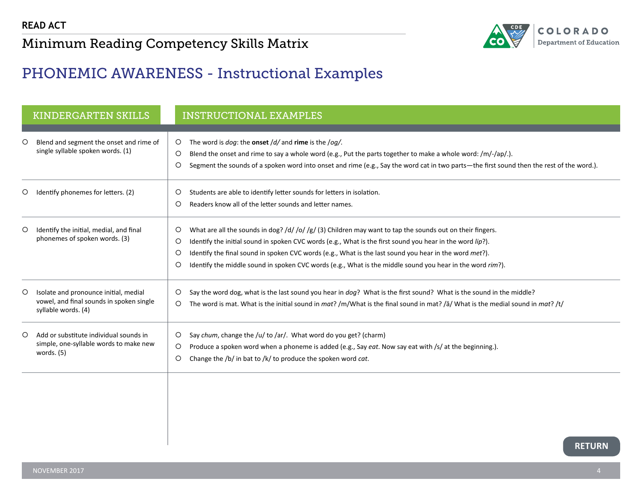

## <span id="page-4-0"></span>PHONEMIC AWARENESS - Instructional Examples

|         | <b>KINDERGARTEN SKILLS</b>                                                                               | <b>INSTRUCTIONAL EXAMPLES</b>                                                                                                                                                                                                                                                                                                                                                                                                                                     |
|---------|----------------------------------------------------------------------------------------------------------|-------------------------------------------------------------------------------------------------------------------------------------------------------------------------------------------------------------------------------------------------------------------------------------------------------------------------------------------------------------------------------------------------------------------------------------------------------------------|
| $\circ$ | Blend and segment the onset and rime of<br>single syllable spoken words. (1)                             | The word is $dog$ : the onset $/d/$ and rime is the $log/$ .<br>$\circ$<br>$\circ$<br>Blend the onset and rime to say a whole word (e.g., Put the parts together to make a whole word: $/m/-/ap/$ .).<br>O<br>Segment the sounds of a spoken word into onset and rime (e.g., Say the word cat in two parts-the first sound then the rest of the word.).                                                                                                           |
| O       | Identify phonemes for letters. (2)                                                                       | Students are able to identify letter sounds for letters in isolation.<br>O<br>Readers know all of the letter sounds and letter names.<br>$\circ$                                                                                                                                                                                                                                                                                                                  |
| O       | Identify the initial, medial, and final<br>phonemes of spoken words. (3)                                 | What are all the sounds in dog? /d/ /o/ /g/ (3) Children may want to tap the sounds out on their fingers.<br>O<br>O<br>Identify the initial sound in spoken CVC words (e.g., What is the first sound you hear in the word lip?).<br>O<br>Identify the final sound in spoken CVC words (e.g., What is the last sound you hear in the word met?).<br>O<br>Identify the middle sound in spoken CVC words (e.g., What is the middle sound you hear in the word rim?). |
| O       | Isolate and pronounce initial, medial<br>vowel, and final sounds in spoken single<br>syllable words. (4) | Say the word dog, what is the last sound you hear in dog? What is the first sound? What is the sound in the middle?<br>O<br>The word is mat. What is the initial sound in mat? /m/What is the final sound in mat? /a/ What is the medial sound in mat? /t/<br>O                                                                                                                                                                                                   |
| O       | Add or substitute individual sounds in<br>simple, one-syllable words to make new<br>words. $(5)$         | Say chum, change the /u/ to /ar/. What word do you get? (charm)<br>O<br>$\circ$<br>Produce a spoken word when a phoneme is added (e.g., Say eat. Now say eat with /s/ at the beginning.).<br>Change the /b/ in bat to /k/ to produce the spoken word cat.<br>$\circ$                                                                                                                                                                                              |
|         |                                                                                                          | <b>RETURN</b>                                                                                                                                                                                                                                                                                                                                                                                                                                                     |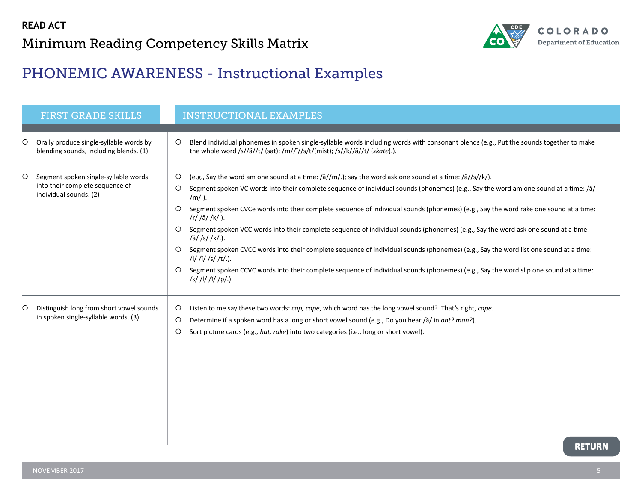

## <span id="page-5-0"></span>PHONEMIC AWARENESS - Instructional Examples

|         | <b>FIRST GRADE SKILLS</b>                                                                         | <b>INSTRUCTIONAL EXAMPLES</b>                                                                                                                                                                                                                                                                                                                                                                                                                                                                                                                                                                                                                                                                                                                                                                                                                                                                                                                                            |
|---------|---------------------------------------------------------------------------------------------------|--------------------------------------------------------------------------------------------------------------------------------------------------------------------------------------------------------------------------------------------------------------------------------------------------------------------------------------------------------------------------------------------------------------------------------------------------------------------------------------------------------------------------------------------------------------------------------------------------------------------------------------------------------------------------------------------------------------------------------------------------------------------------------------------------------------------------------------------------------------------------------------------------------------------------------------------------------------------------|
| $\circ$ | Orally produce single-syllable words by<br>blending sounds, including blends. (1)                 | Blend individual phonemes in spoken single-syllable words including words with consonant blends (e.g., Put the sounds together to make<br>$\circ$<br>the whole word /s//ă//t/ (sat); /m//ĭ//s/t/(mist); /s//k//ā//t/ (skate).).                                                                                                                                                                                                                                                                                                                                                                                                                                                                                                                                                                                                                                                                                                                                          |
| O       | Segment spoken single-syllable words<br>into their complete sequence of<br>individual sounds. (2) | (e.g., Say the word am one sound at a time: / $\frac{3}{m}$ .); say the word ask one sound at a time: / $\frac{3}{5}$ /s/k/).<br>O<br>Segment spoken VC words into their complete sequence of individual sounds (phonemes) (e.g., Say the word am one sound at a time: /ă/<br>O<br>/m/.).<br>Segment spoken CVCe words into their complete sequence of individual sounds (phonemes) (e.g., Say the word rake one sound at a time:<br>$\circ$<br>/r// $\bar{a}/k$ .).<br>Segment spoken VCC words into their complete sequence of individual sounds (phonemes) (e.g., Say the word ask one sound at a time:<br>O<br>/ă/ /s/ /k/.).<br>Segment spoken CVCC words into their complete sequence of individual sounds (phonemes) (e.g., Say the word list one sound at a time:<br>$\circ$<br>/l/ /ĭ/ /s/ /t/.).<br>Segment spoken CCVC words into their complete sequence of individual sounds (phonemes) (e.g., Say the word slip one sound at a time:<br>/s/ /l/ /ĭ/ /p/.). |
| $\circ$ | Distinguish long from short vowel sounds<br>in spoken single-syllable words. (3)                  | O<br>Listen to me say these two words: cap, cape, which word has the long vowel sound? That's right, cape.<br>$\circ$<br>Determine if a spoken word has a long or short vowel sound (e.g., Do you hear /ă/ in ant? man?).<br>O<br>Sort picture cards (e.g., hat, rake) into two categories (i.e., long or short vowel).                                                                                                                                                                                                                                                                                                                                                                                                                                                                                                                                                                                                                                                  |
|         |                                                                                                   | <b>BERLIBAL</b>                                                                                                                                                                                                                                                                                                                                                                                                                                                                                                                                                                                                                                                                                                                                                                                                                                                                                                                                                          |

**RETURN RETURN**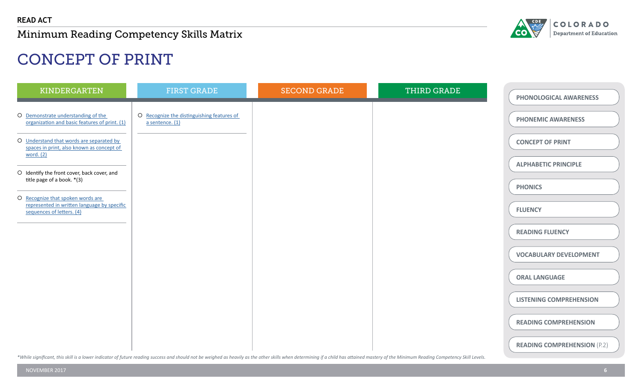

# CONCEPT OF PRINT

| KINDERGARTEN                                                                                                  | <b>FIRST GRADE</b>                                            | <b>SECOND GRADE</b> | THIRD GRADE | PHONOLOGICAL AWARENESS             |
|---------------------------------------------------------------------------------------------------------------|---------------------------------------------------------------|---------------------|-------------|------------------------------------|
| O Demonstrate understanding of the<br>organization and basic features of print. (1)                           | O Recognize the distinguishing features of<br>a sentence. (1) |                     |             | <b>PHONEMIC AWARENESS</b>          |
| O Understand that words are separated by<br>spaces in print, also known as concept of<br>word. (2)            |                                                               |                     |             | <b>CONCEPT OF PRINT</b>            |
| O Identify the front cover, back cover, and<br>title page of a book. *(3)                                     |                                                               |                     |             | <b>ALPHABETIC PRINCIPLE</b>        |
| O Recognize that spoken words are<br>represented in written language by specific<br>sequences of letters. (4) |                                                               |                     |             | <b>PHONICS</b><br><b>FLUENCY</b>   |
|                                                                                                               |                                                               |                     |             | <b>READING FLUENCY</b>             |
|                                                                                                               |                                                               |                     |             | <b>VOCABULARY DEVELOPMENT</b>      |
|                                                                                                               |                                                               |                     |             | <b>ORAL LANGUAGE</b>               |
|                                                                                                               |                                                               |                     |             | <b>LISTENING COMPREHENSION</b>     |
|                                                                                                               |                                                               |                     |             | <b>READING COMPREHENSION</b>       |
|                                                                                                               |                                                               |                     |             | <b>READING COMPREHENSION (P.2)</b> |

\*While significant, this skill is a lower indicator of future reading success and should not be weighed as heavily as the other skills when determining if a child has attained mastery of the Minimum Reading Competency Skil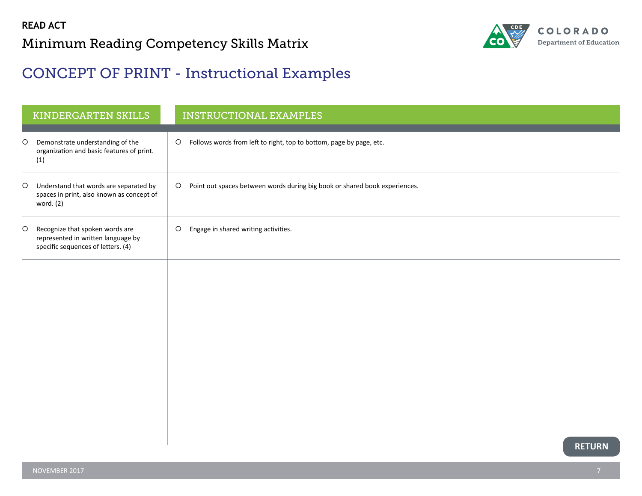

## <span id="page-7-0"></span>CONCEPT OF PRINT - Instructional Examples

|         | KINDERGARTEN SKILLS                                                                                         | <b>INSTRUCTIONAL EXAMPLES</b>                                                         |
|---------|-------------------------------------------------------------------------------------------------------------|---------------------------------------------------------------------------------------|
| $\circ$ | Demonstrate understanding of the<br>organization and basic features of print.<br>(1)                        | Follows words from left to right, top to bottom, page by page, etc.<br>$\circ$        |
| $\circ$ | Understand that words are separated by<br>spaces in print, also known as concept of<br>word. (2)            | Point out spaces between words during big book or shared book experiences.<br>$\circ$ |
| $\circ$ | Recognize that spoken words are<br>represented in written language by<br>specific sequences of letters. (4) | Engage in shared writing activities.<br>$\circ$                                       |
|         |                                                                                                             |                                                                                       |
|         |                                                                                                             |                                                                                       |
|         |                                                                                                             |                                                                                       |
|         |                                                                                                             |                                                                                       |
|         |                                                                                                             |                                                                                       |
|         |                                                                                                             | <b>RETURN</b>                                                                         |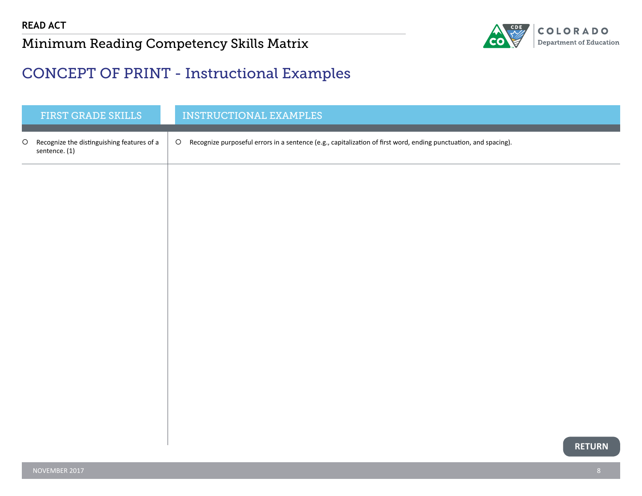

### <span id="page-8-0"></span>CONCEPT OF PRINT - Instructional Examples

|         | FIRST GRADE SKILLS                                          | <b>INSTRUCTIONAL EXAMPLES</b>                                                                                               |
|---------|-------------------------------------------------------------|-----------------------------------------------------------------------------------------------------------------------------|
| $\circ$ | Recognize the distinguishing features of a<br>sentence. (1) | Recognize purposeful errors in a sentence (e.g., capitalization of first word, ending punctuation, and spacing).<br>$\circ$ |
|         |                                                             |                                                                                                                             |
|         |                                                             |                                                                                                                             |
|         |                                                             |                                                                                                                             |
|         |                                                             |                                                                                                                             |
|         |                                                             |                                                                                                                             |
|         |                                                             |                                                                                                                             |
|         |                                                             |                                                                                                                             |
|         |                                                             |                                                                                                                             |
|         |                                                             |                                                                                                                             |
|         |                                                             | <b>RETURN</b>                                                                                                               |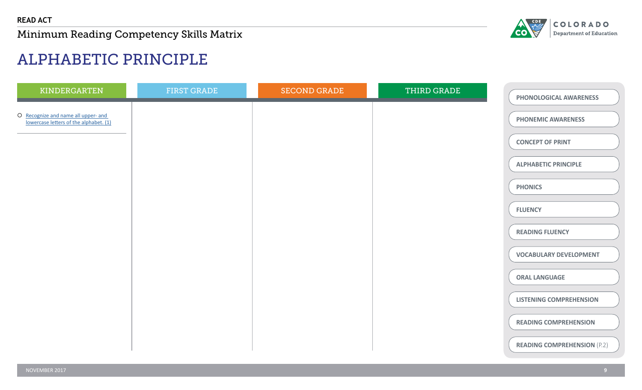

# ALPHABETIC PRINCIPLE

| KINDERGARTEN                                                                  | <b>FIRST GRADE</b> | <b>SECOND GRADE</b> | THIRD GRADE | PHONOLOGICAL AWARENESS             |
|-------------------------------------------------------------------------------|--------------------|---------------------|-------------|------------------------------------|
| O Recognize and name all upper- and<br>lowercase letters of the alphabet. (1) |                    |                     |             | <b>PHONEMIC AWARENESS</b>          |
|                                                                               |                    |                     |             | <b>CONCEPT OF PRINT</b>            |
|                                                                               |                    |                     |             | <b>ALPHABETIC PRINCIPLE</b>        |
|                                                                               |                    |                     |             | <b>PHONICS</b>                     |
|                                                                               |                    |                     |             | <b>FLUENCY</b>                     |
|                                                                               |                    |                     |             | <b>READING FLUENCY</b>             |
|                                                                               |                    |                     |             | <b>VOCABULARY DEVELOPMENT</b>      |
|                                                                               |                    |                     |             | <b>ORAL LANGUAGE</b>               |
|                                                                               |                    |                     |             | <b>LISTENING COMPREHENSION</b>     |
|                                                                               |                    |                     |             | <b>READING COMPREHENSION</b>       |
|                                                                               |                    |                     |             | <b>READING COMPREHENSION (P.2)</b> |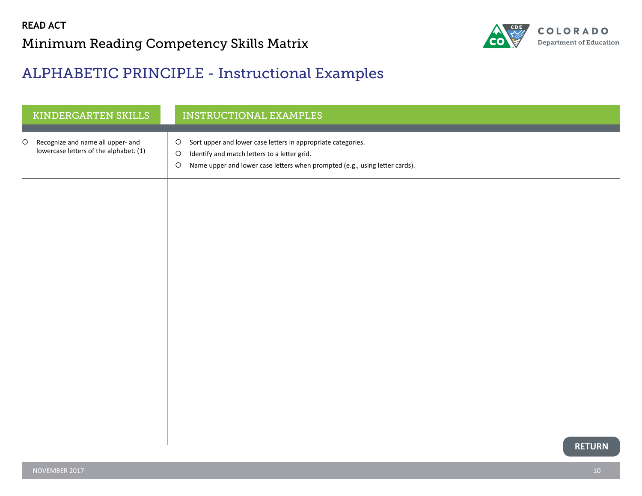

#### <span id="page-10-0"></span>ALPHABETIC PRINCIPLE - Instructional Examples

| KINDERGARTEN SKILLS                                                                    | <b>INSTRUCTIONAL EXAMPLES</b>                                                                                                                                                                                                |
|----------------------------------------------------------------------------------------|------------------------------------------------------------------------------------------------------------------------------------------------------------------------------------------------------------------------------|
| Recognize and name all upper- and<br>$\circ$<br>lowercase letters of the alphabet. (1) | Sort upper and lower case letters in appropriate categories.<br>$\circ$<br>$\circ$<br>Identify and match letters to a letter grid.<br>Name upper and lower case letters when prompted (e.g., using letter cards).<br>$\circ$ |
|                                                                                        |                                                                                                                                                                                                                              |
|                                                                                        |                                                                                                                                                                                                                              |
|                                                                                        |                                                                                                                                                                                                                              |
|                                                                                        |                                                                                                                                                                                                                              |
|                                                                                        |                                                                                                                                                                                                                              |
|                                                                                        | <b>RETURN</b>                                                                                                                                                                                                                |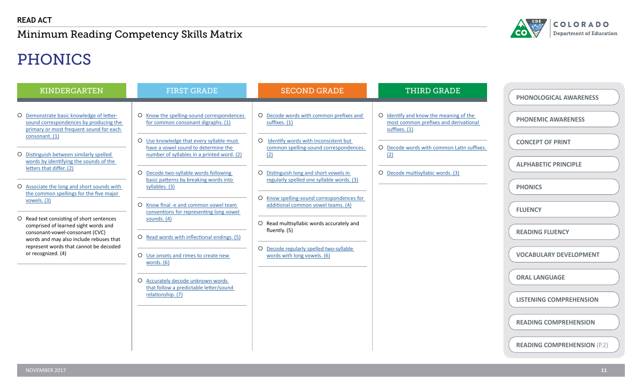

# PHONICS

| <b>KINDERGARTEN</b>                                                                                                  | <b>FIRST GRADE</b>                                                                                | <b>SECOND GRADE</b>                                                                    | <b>THIRD GRADE</b>                                                              | <b>PHONOLOGICAL AWARENESS</b>                         |
|----------------------------------------------------------------------------------------------------------------------|---------------------------------------------------------------------------------------------------|----------------------------------------------------------------------------------------|---------------------------------------------------------------------------------|-------------------------------------------------------|
| O Demonstrate basic knowledge of letter-<br>sound correspondences by producing the                                   | O Know the spelling-sound correspondences<br>for common consonant digraphs. (1)                   | O Decode words with common prefixes and<br>suffixes. $(1)$                             | O Identify and know the meaning of the<br>most common prefixes and derivational | <b>PHONEMIC AWARENESS</b>                             |
| primary or most frequent sound for each<br>consonant. (1)                                                            | O Use knowledge that every syllable must<br>have a vowel sound to determine the                   | O Identify words with inconsistent but<br>common spelling-sound correspondences.       | suffixes. (1)<br>O Decode words with common Latin suffixes.                     | <b>CONCEPT OF PRINT</b>                               |
| O Distinguish between similarly spelled<br>words by identifying the sounds of the<br>letters that differ. (2)        | number of syllables in a printed word. (2)<br>O Decode two-syllable words following               | (2)<br>O Distinguish long and short vowels in                                          | (2)<br>O Decode multisyllabic words. (3)                                        | <b>ALPHABETIC PRINCIPLE</b>                           |
| O Associate the long and short sounds with<br>the common spellings for the five major<br>vowels. (3)                 | basic patterns by breaking words into<br>syllables. (3)                                           | regularly spelled one syllable words. (3)<br>O Know spelling-sound correspondences for |                                                                                 | <b>PHONICS</b>                                        |
| O Read text consisting of short sentences<br>comprised of learned sight words and                                    | O Know final -e and common vowel team<br>conventions for representing long vowel<br>sounds. $(4)$ | additional common vowel teams. (4)<br>O Read multisyllabic words accurately and        |                                                                                 | <b>FLUENCY</b>                                        |
| consonant-vowel-consonant (CVC)<br>words and may also include rebuses that<br>represent words that cannot be decoded | O Read words with inflectional endings. (5)                                                       | fluently. (5)<br>O Decode regularly spelled two-syllable                               |                                                                                 | <b>READING FLUENCY</b>                                |
| or recognized. (4)                                                                                                   | O Use onsets and rimes to create new<br>words. (6)                                                | words with long vowels. (6)                                                            |                                                                                 | <b>VOCABULARY DEVELOPMENT</b><br><b>ORAL LANGUAGE</b> |
|                                                                                                                      | O Accurately decode unknown words<br>that follow a predictable letter/sound<br>relationship. (7)  |                                                                                        |                                                                                 | <b>LISTENING COMPREHENSION</b>                        |
|                                                                                                                      |                                                                                                   |                                                                                        |                                                                                 | <b>READING COMPREHENSION</b>                          |
|                                                                                                                      |                                                                                                   |                                                                                        |                                                                                 | <b>READING COMPREHENSION (P.2)</b>                    |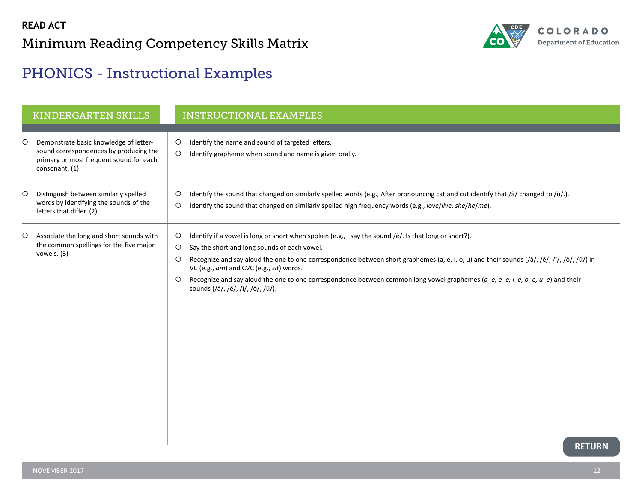

### <span id="page-12-0"></span>PHONICS - Instructional Examples

|         | <b>KINDERGARTEN SKILLS</b>                                                                                                                    | <b>INSTRUCTIONAL EXAMPLES</b>                                                                                                                                                                                                                                                                                                                                                                                                                                                                                                                                                                                                     |
|---------|-----------------------------------------------------------------------------------------------------------------------------------------------|-----------------------------------------------------------------------------------------------------------------------------------------------------------------------------------------------------------------------------------------------------------------------------------------------------------------------------------------------------------------------------------------------------------------------------------------------------------------------------------------------------------------------------------------------------------------------------------------------------------------------------------|
| O       | Demonstrate basic knowledge of letter-<br>sound correspondences by producing the<br>primary or most frequent sound for each<br>consonant. (1) | Identify the name and sound of targeted letters.<br>$\circ$<br>$\circ$<br>Identify grapheme when sound and name is given orally.                                                                                                                                                                                                                                                                                                                                                                                                                                                                                                  |
| $\circ$ | Distinguish between similarly spelled<br>words by identifying the sounds of the<br>letters that differ. (2)                                   | $\circ$<br>Identify the sound that changed on similarly spelled words (e.g., After pronouncing cat and cut identify that /ă/ changed to /ŭ/.).<br>Identify the sound that changed on similarly spelled high frequency words (e.g., love/live, she/he/me).<br>$\circ$                                                                                                                                                                                                                                                                                                                                                              |
| $\circ$ | Associate the long and short sounds with<br>the common spellings for the five major<br>vowels. (3)                                            | Identify if a vowel is long or short when spoken (e.g., I say the sound /ĕ/. Is that long or short?).<br>$\circ$<br>Say the short and long sounds of each vowel.<br>$\circ$<br>Recognize and say aloud the one to one correspondence between short graphemes (a, e, i, o, u) and their sounds $(\frac{a}{d}, \frac{b}{c}, \frac{b}{c}, \frac{b}{c}, \frac{c}{c})$<br>$\circ$<br>VC (e.g., am) and CVC (e.g., sit) words.<br>Recognize and say aloud the one to one correspondence between common long vowel graphemes ( $a_e$ , $e_e$ , $e_e$ , $i_e$ , $o_e$ , $u_e$ ) and their<br>$\circ$<br>sounds (/ā/, /ē/, /ī/, /ō/, /ū/). |
|         |                                                                                                                                               |                                                                                                                                                                                                                                                                                                                                                                                                                                                                                                                                                                                                                                   |

**RETURN**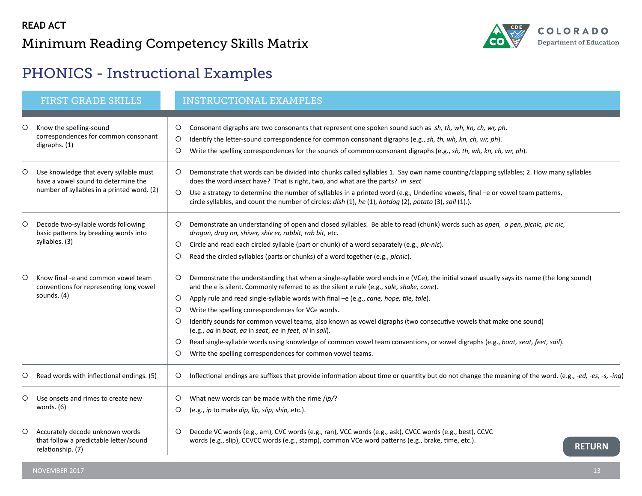

# <span id="page-13-0"></span>PHONICS - Instructional Examples

|         | <b>FIRST GRADE SKILLS</b>                                                                                                   | <b>INSTRUCTIONAL EXAMPLES</b>                                                                                                                                                                                                                                                                                                                                                                                                                                                                                                                                                                                                                                                                                                                                                                                   |
|---------|-----------------------------------------------------------------------------------------------------------------------------|-----------------------------------------------------------------------------------------------------------------------------------------------------------------------------------------------------------------------------------------------------------------------------------------------------------------------------------------------------------------------------------------------------------------------------------------------------------------------------------------------------------------------------------------------------------------------------------------------------------------------------------------------------------------------------------------------------------------------------------------------------------------------------------------------------------------|
| O       | Know the spelling-sound<br>correspondences for common consonant<br>digraphs. (1)                                            | Consonant digraphs are two consonants that represent one spoken sound such as sh, th, wh, kn, ch, wr, ph.<br>O<br>Identify the letter-sound correspondence for common consonant digraphs (e.g., sh, th, wh, kn, ch, wr, ph).<br>$\circ$<br>Write the spelling correspondences for the sounds of common consonant digraphs (e.g., sh, th, wh, kn, ch, wr, ph).<br>O                                                                                                                                                                                                                                                                                                                                                                                                                                              |
| O       | Use knowledge that every syllable must<br>have a vowel sound to determine the<br>number of syllables in a printed word. (2) | Demonstrate that words can be divided into chunks called syllables 1. Say own name counting/clapping syllables; 2. How many syllables<br>O<br>does the word insect have? That is right, two, and what are the parts? in sect<br>Use a strategy to determine the number of syllables in a printed word (e.g., Underline vowels, final -e or vowel team patterns,<br>$\circ$<br>circle syllables, and count the number of circles: dish (1), he (1), hotdog (2), potato (3), sail (1).).                                                                                                                                                                                                                                                                                                                          |
| $\circ$ | Decode two-syllable words following<br>basic patterns by breaking words into<br>syllables. (3)                              | Demonstrate an understanding of open and closed syllables. Be able to read (chunk) words such as open, o pen, picnic, pic nic,<br>O<br>dragon, drag on, shiver, shiv er, rabbit, rab bit, etc.<br>Circle and read each circled syllable (part or chunk) of a word separately (e.g., pic-nic).<br>O<br>Read the circled syllables (parts or chunks) of a word together (e.g., picnic).<br>O                                                                                                                                                                                                                                                                                                                                                                                                                      |
| O       | Know final -e and common vowel team<br>conventions for representing long vowel<br>sounds. (4)                               | Demonstrate the understanding that when a single-syllable word ends in e (VCe), the initial vowel usually says its name (the long sound)<br>O<br>and the e is silent. Commonly referred to as the silent e rule (e.g., sale, shake, cone).<br>Apply rule and read single-syllable words with final -e (e.g., cane, hope, tile, tale).<br>$\circ$<br>Write the spelling correspondences for VCe words.<br>$\circ$<br>Identify sounds for common vowel teams, also known as vowel digraphs (two consecutive vowels that make one sound)<br>O<br>(e.g., oa in boat, ea in seat, ee in feet, ai in sail).<br>Read single-syllable words using knowledge of common vowel team conventions, or vowel digraphs (e.g., boat, seat, feet, sail).<br>O<br>Write the spelling correspondences for common vowel teams.<br>O |
| O       | Read words with inflectional endings. (5)                                                                                   | Inflectional endings are suffixes that provide information about time or quantity but do not change the meaning of the word. (e.g., -ed, -es, -s, -ing)<br>O                                                                                                                                                                                                                                                                                                                                                                                                                                                                                                                                                                                                                                                    |
| O       | Use onsets and rimes to create new<br>words. $(6)$                                                                          | What new words can be made with the rime /ip/?<br>O<br>O<br>(e.g., ip to make dip, lip, slip, ship, etc.).                                                                                                                                                                                                                                                                                                                                                                                                                                                                                                                                                                                                                                                                                                      |
| $\circ$ | Accurately decode unknown words<br>that follow a predictable letter/sound<br>relationship. (7)                              | Decode VC words (e.g., am), CVC words (e.g., ran), VCC words (e.g., ask), CVCC words (e.g., best), CCVC<br>$\circ$<br>words (e.g., slip), CCVCC words (e.g., stamp), common VCe word patterns (e.g., brake, time, etc.).<br><b>RETURN</b>                                                                                                                                                                                                                                                                                                                                                                                                                                                                                                                                                                       |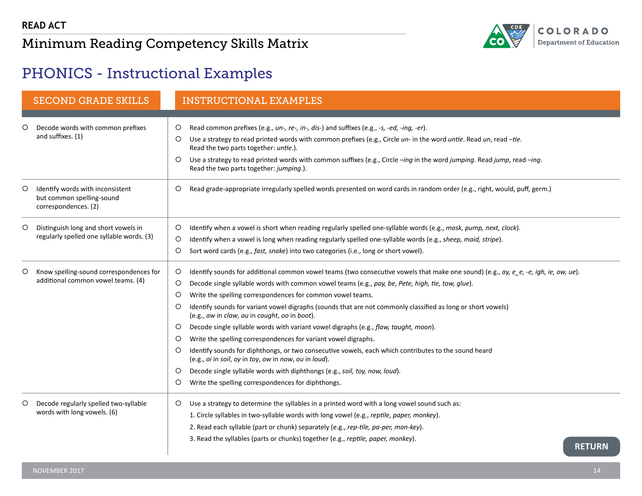

# <span id="page-14-0"></span>PHONICS - Instructional Examples

|         | <b>SECOND GRADE SKILLS</b>                                                            | <b>INSTRUCTIONAL EXAMPLES</b>                                                                                                                                                 |
|---------|---------------------------------------------------------------------------------------|-------------------------------------------------------------------------------------------------------------------------------------------------------------------------------|
|         |                                                                                       |                                                                                                                                                                               |
| O       | Decode words with common prefixes                                                     | Read common prefixes (e.g., un-, re-, in-, dis-) and suffixes (e.g., -s, -ed, -ing, -er).<br>$\circ$                                                                          |
|         | and suffixes. (1)                                                                     | $\circ$<br>Use a strategy to read printed words with common prefixes (e.g., Circle un- in the word untie. Read un, read -tie.<br>Read the two parts together: untie.).        |
|         |                                                                                       | $\circ$<br>Use a strategy to read printed words with common suffixes (e.g., Circle -ing in the word jumping. Read jump, read -ing.<br>Read the two parts together: jumping.). |
| $\circ$ | Identify words with inconsistent<br>but common spelling-sound<br>correspondences. (2) | Read grade-appropriate irregularly spelled words presented on word cards in random order (e.g., right, would, puff, germ.)<br>$\circ$                                         |
| $\circ$ | Distinguish long and short vowels in                                                  | $\circ$<br>Identify when a vowel is short when reading regularly spelled one-syllable words (e.g., mask, pump, next, clock).                                                  |
|         | regularly spelled one syllable words. (3)                                             | Identify when a vowel is long when reading regularly spelled one-syllable words (e.g., sheep, maid, stripe).<br>$\circ$                                                       |
|         |                                                                                       | O<br>Sort word cards (e.g., fast, snake) into two categories (i.e., long or short vowel).                                                                                     |
| $\circ$ | Know spelling-sound correspondences for                                               | $\circ$<br>Identify sounds for additional common vowel teams (two consecutive vowels that make one sound) (e.g., ay, e_e, -e, igh, ie, ow, ue).                               |
|         | additional common vowel teams. (4)                                                    | Decode single syllable words with common vowel teams (e.g., pay, be, Pete, high, tie, tow, glue).<br>$\circ$                                                                  |
|         |                                                                                       | Write the spelling correspondences for common vowel teams.<br>$\circ$                                                                                                         |
|         |                                                                                       | Identify sounds for variant vowel digraphs (sounds that are not commonly classified as long or short vowels)<br>$\circ$<br>(e.g., aw in claw, au in caught, oo in boot).      |
|         |                                                                                       | Decode single syllable words with variant vowel digraphs (e.g., flaw, taught, moon).<br>$\circ$                                                                               |
|         |                                                                                       | Write the spelling correspondences for variant vowel digraphs.<br>$\circ$                                                                                                     |
|         |                                                                                       | Identify sounds for diphthongs, or two consecutive vowels, each which contributes to the sound heard<br>$\circ$<br>(e.g., oi in soil, oy in toy, ow in now, ou in loud).      |
|         |                                                                                       | Decode single syllable words with diphthongs (e.g., soil, toy, now, loud).<br>$\circ$                                                                                         |
|         |                                                                                       | O<br>Write the spelling correspondences for diphthongs.                                                                                                                       |
| $\circ$ | Decode regularly spelled two-syllable                                                 | Use a strategy to determine the syllables in a printed word with a long vowel sound such as:<br>$\circ$                                                                       |
|         | words with long vowels. (6)                                                           | 1. Circle syllables in two-syllable words with long vowel (e.g., reptile, paper, monkey).                                                                                     |
|         |                                                                                       | 2. Read each syllable (part or chunk) separately (e.g., rep-tile, pa-per, mon-key).                                                                                           |
|         |                                                                                       | 3. Read the syllables (parts or chunks) together (e.g., reptile, paper, monkey).<br><b>RETURN</b>                                                                             |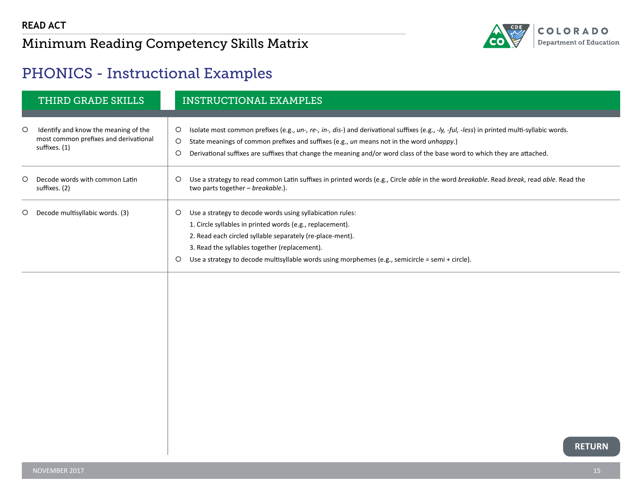

## <span id="page-15-0"></span>PHONICS - Instructional Examples

|         | THIRD GRADE SKILLS                                                                             | <b>INSTRUCTIONAL EXAMPLES</b>                                                                                                                                                                                                                                                                                                                                                                          |
|---------|------------------------------------------------------------------------------------------------|--------------------------------------------------------------------------------------------------------------------------------------------------------------------------------------------------------------------------------------------------------------------------------------------------------------------------------------------------------------------------------------------------------|
| $\circ$ | Identify and know the meaning of the<br>most common prefixes and derivational<br>suffixes. (1) | Isolate most common prefixes (e.g., un-, re-, in-, dis-) and derivational suffixes (e.g., -ly, -ful, -less) in printed multi-syllabic words.<br>$\circ$<br>$\circ$<br>State meanings of common prefixes and suffixes (e.g., un means not in the word unhappy.)<br>Derivational suffixes are suffixes that change the meaning and/or word class of the base word to which they are attached.<br>$\circ$ |
| $\circ$ | Decode words with common Latin<br>suffixes. (2)                                                | Use a strategy to read common Latin suffixes in printed words (e.g., Circle able in the word breakable. Read break, read able. Read the<br>$\circ$<br>two parts together - breakable.).                                                                                                                                                                                                                |
| $\circ$ | Decode multisyllabic words. (3)                                                                | Use a strategy to decode words using syllabication rules:<br>$\circ$<br>1. Circle syllables in printed words (e.g., replacement).<br>2. Read each circled syllable separately (re-place-ment).<br>3. Read the syllables together (replacement).<br>Use a strategy to decode multisyllable words using morphemes (e.g., semicircle = semi + circle).<br>$\circ$                                         |
|         |                                                                                                | <b>RETURN</b>                                                                                                                                                                                                                                                                                                                                                                                          |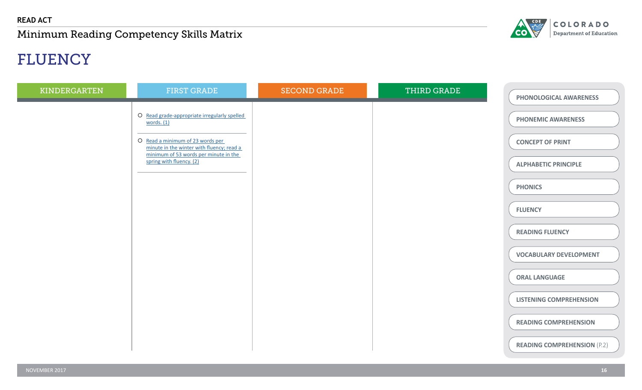

# FLUENCY

| KINDERGARTEN | <b>FIRST GRADE</b>                                                                                                                                                                     | <b>SECOND GRADE</b> | THIRD GRADE | PHONOLOGICAL AWARENESS                                             |
|--------------|----------------------------------------------------------------------------------------------------------------------------------------------------------------------------------------|---------------------|-------------|--------------------------------------------------------------------|
|              | O Read grade-appropriate irregularly spelled<br>words. $(1)$<br>O Read a minimum of 23 words per<br>minute in the winter with fluency; read a<br>minimum of 53 words per minute in the |                     |             | <b>PHONEMIC AWARENESS</b><br><b>CONCEPT OF PRINT</b>               |
|              | spring with fluency. (2)                                                                                                                                                               |                     |             | <b>ALPHABETIC PRINCIPLE</b><br><b>PHONICS</b><br><b>FLUENCY</b>    |
|              |                                                                                                                                                                                        |                     |             | <b>READING FLUENCY</b><br><b>VOCABULARY DEVELOPMENT</b>            |
|              |                                                                                                                                                                                        |                     |             | <b>ORAL LANGUAGE</b><br><b>LISTENING COMPREHENSION</b>             |
|              |                                                                                                                                                                                        |                     |             | <b>READING COMPREHENSION</b><br><b>READING COMPREHENSION (P.2)</b> |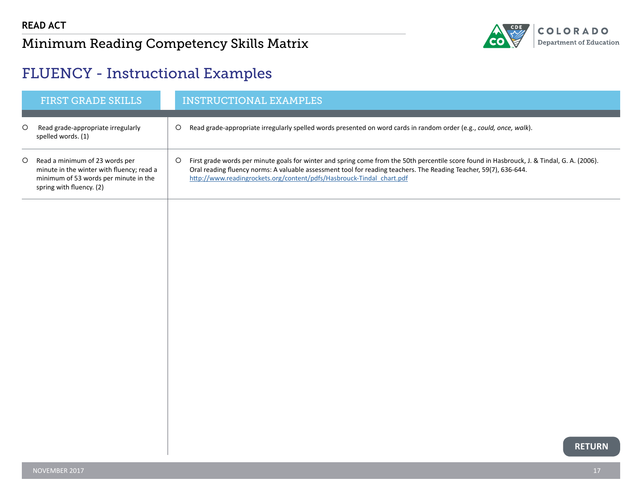

## <span id="page-17-0"></span>FLUENCY - Instructional Examples

|         | <b>FIRST GRADE SKILLS</b>                                                                                                                        | <b>INSTRUCTIONAL EXAMPLES</b>                                                                                                                                                                                                                                                                                                             |
|---------|--------------------------------------------------------------------------------------------------------------------------------------------------|-------------------------------------------------------------------------------------------------------------------------------------------------------------------------------------------------------------------------------------------------------------------------------------------------------------------------------------------|
|         | Read grade-appropriate irregularly<br>spelled words. (1)                                                                                         | Read grade-appropriate irregularly spelled words presented on word cards in random order (e.g., could, once, walk).                                                                                                                                                                                                                       |
| $\circ$ | Read a minimum of 23 words per<br>minute in the winter with fluency; read a<br>minimum of 53 words per minute in the<br>spring with fluency. (2) | First grade words per minute goals for winter and spring come from the 50th percentile score found in Hasbrouck, J. & Tindal, G. A. (2006).<br>Oral reading fluency norms: A valuable assessment tool for reading teachers. The Reading Teacher, 59(7), 636-644.<br>http://www.readingrockets.org/content/pdfs/Hasbrouck-Tindal chart.pdf |
|         |                                                                                                                                                  |                                                                                                                                                                                                                                                                                                                                           |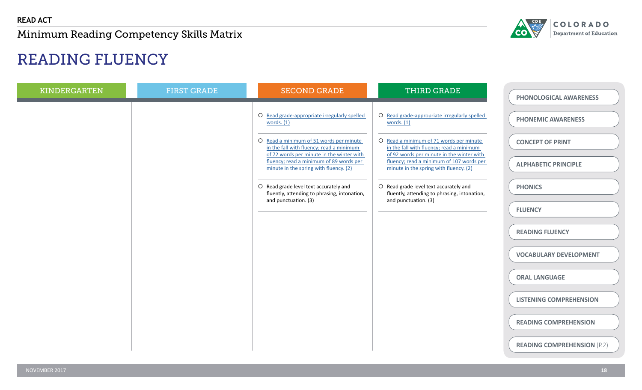

# READING FLUENCY

| <b>KINDERGARTEN</b> | <b>FIRST GRADE</b> | <b>SECOND GRADE</b>                                                                                                              | THIRD GRADE                                                                                                                      | PHONOLOGICAL AWARENESS             |
|---------------------|--------------------|----------------------------------------------------------------------------------------------------------------------------------|----------------------------------------------------------------------------------------------------------------------------------|------------------------------------|
|                     |                    | O Read grade-appropriate irregularly spelled<br>words. $(1)$                                                                     | O Read grade-appropriate irregularly spelled<br>words. $(1)$                                                                     | <b>PHONEMIC AWARENESS</b>          |
|                     |                    | O Read a minimum of 51 words per minute<br>in the fall with fluency; read a minimum<br>of 72 words per minute in the winter with | O Read a minimum of 71 words per minute<br>in the fall with fluency; read a minimum<br>of 92 words per minute in the winter with | <b>CONCEPT OF PRINT</b>            |
|                     |                    | fluency; read a minimum of 89 words per<br>minute in the spring with fluency. (2)                                                | fluency; read a minimum of 107 words per<br>minute in the spring with fluency. (2)                                               | <b>ALPHABETIC PRINCIPLE</b>        |
|                     |                    | O Read grade level text accurately and<br>fluently, attending to phrasing, intonation,<br>and punctuation. (3)                   | O Read grade level text accurately and<br>fluently, attending to phrasing, intonation,<br>and punctuation. (3)                   | <b>PHONICS</b>                     |
|                     |                    |                                                                                                                                  |                                                                                                                                  | <b>FLUENCY</b>                     |
|                     |                    |                                                                                                                                  |                                                                                                                                  | <b>READING FLUENCY</b>             |
|                     |                    |                                                                                                                                  |                                                                                                                                  | <b>VOCABULARY DEVELOPMENT</b>      |
|                     |                    |                                                                                                                                  |                                                                                                                                  | <b>ORAL LANGUAGE</b>               |
|                     |                    |                                                                                                                                  |                                                                                                                                  | <b>LISTENING COMPREHENSION</b>     |
|                     |                    |                                                                                                                                  |                                                                                                                                  | <b>READING COMPREHENSION</b>       |
|                     |                    |                                                                                                                                  |                                                                                                                                  | <b>READING COMPREHENSION (P.2)</b> |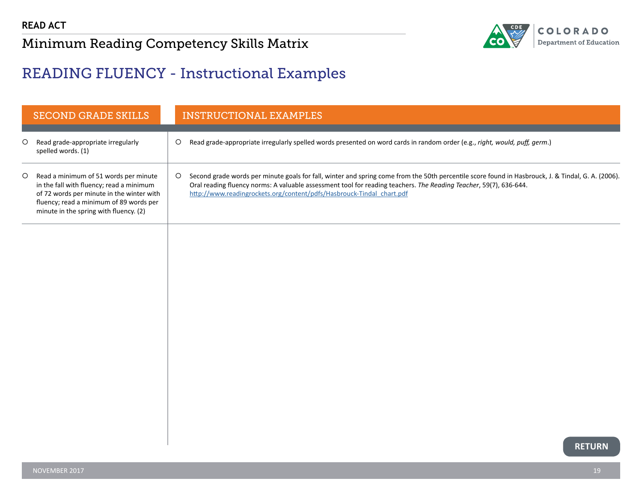

## <span id="page-19-0"></span>READING FLUENCY - Instructional Examples

|         | <b>SECOND GRADE SKILLS</b>                                                                                                                                                                                          |         | <b>INSTRUCTIONAL EXAMPLES</b>                                                                                                                                                                                                                                                                                                                    |
|---------|---------------------------------------------------------------------------------------------------------------------------------------------------------------------------------------------------------------------|---------|--------------------------------------------------------------------------------------------------------------------------------------------------------------------------------------------------------------------------------------------------------------------------------------------------------------------------------------------------|
| $\circ$ | Read grade-appropriate irregularly<br>spelled words. (1)                                                                                                                                                            | $\circ$ | Read grade-appropriate irregularly spelled words presented on word cards in random order (e.g., right, would, puff, germ.)                                                                                                                                                                                                                       |
| $\circ$ | Read a minimum of 51 words per minute<br>in the fall with fluency; read a minimum<br>of 72 words per minute in the winter with<br>fluency; read a minimum of 89 words per<br>minute in the spring with fluency. (2) | $\circ$ | Second grade words per minute goals for fall, winter and spring come from the 50th percentile score found in Hasbrouck, J. & Tindal, G. A. (2006).<br>Oral reading fluency norms: A valuable assessment tool for reading teachers. The Reading Teacher, 59(7), 636-644.<br>http://www.readingrockets.org/content/pdfs/Hasbrouck-Tindal_chart.pdf |
|         |                                                                                                                                                                                                                     |         |                                                                                                                                                                                                                                                                                                                                                  |
|         |                                                                                                                                                                                                                     |         |                                                                                                                                                                                                                                                                                                                                                  |
|         |                                                                                                                                                                                                                     |         |                                                                                                                                                                                                                                                                                                                                                  |
|         |                                                                                                                                                                                                                     |         |                                                                                                                                                                                                                                                                                                                                                  |
|         |                                                                                                                                                                                                                     |         |                                                                                                                                                                                                                                                                                                                                                  |
|         |                                                                                                                                                                                                                     |         |                                                                                                                                                                                                                                                                                                                                                  |
|         |                                                                                                                                                                                                                     |         | <b>RETURN</b>                                                                                                                                                                                                                                                                                                                                    |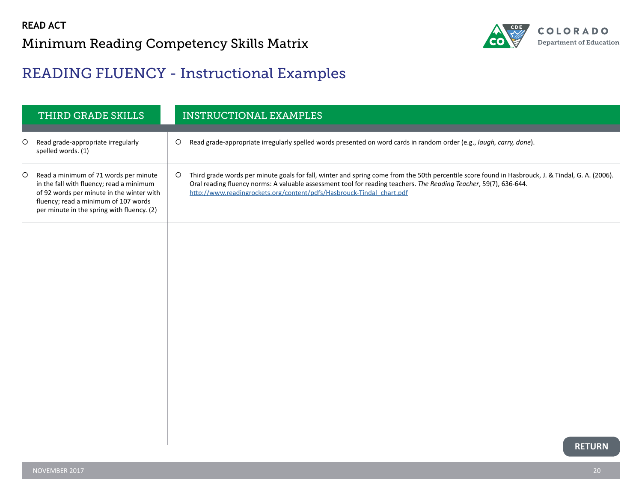

## <span id="page-20-0"></span>READING FLUENCY - Instructional Examples

|   | THIRD GRADE SKILLS                                                                                                                                                                                                   |         | <b>INSTRUCTIONAL EXAMPLES</b>                                                                                                                                                                                                                                                                                                                   |
|---|----------------------------------------------------------------------------------------------------------------------------------------------------------------------------------------------------------------------|---------|-------------------------------------------------------------------------------------------------------------------------------------------------------------------------------------------------------------------------------------------------------------------------------------------------------------------------------------------------|
| O | Read grade-appropriate irregularly<br>spelled words. (1)                                                                                                                                                             | $\circ$ | Read grade-appropriate irregularly spelled words presented on word cards in random order (e.g., laugh, carry, done).                                                                                                                                                                                                                            |
| O | Read a minimum of 71 words per minute<br>in the fall with fluency; read a minimum<br>of 92 words per minute in the winter with<br>fluency; read a minimum of 107 words<br>per minute in the spring with fluency. (2) | $\circ$ | Third grade words per minute goals for fall, winter and spring come from the 50th percentile score found in Hasbrouck, J. & Tindal, G. A. (2006).<br>Oral reading fluency norms: A valuable assessment tool for reading teachers. The Reading Teacher, 59(7), 636-644.<br>http://www.readingrockets.org/content/pdfs/Hasbrouck-Tindal_chart.pdf |
|   |                                                                                                                                                                                                                      |         |                                                                                                                                                                                                                                                                                                                                                 |
|   |                                                                                                                                                                                                                      |         |                                                                                                                                                                                                                                                                                                                                                 |
|   |                                                                                                                                                                                                                      |         |                                                                                                                                                                                                                                                                                                                                                 |
|   |                                                                                                                                                                                                                      |         |                                                                                                                                                                                                                                                                                                                                                 |
|   |                                                                                                                                                                                                                      |         |                                                                                                                                                                                                                                                                                                                                                 |
|   |                                                                                                                                                                                                                      |         |                                                                                                                                                                                                                                                                                                                                                 |
|   |                                                                                                                                                                                                                      |         |                                                                                                                                                                                                                                                                                                                                                 |
|   |                                                                                                                                                                                                                      |         |                                                                                                                                                                                                                                                                                                                                                 |
|   |                                                                                                                                                                                                                      |         | <b>RETURN</b>                                                                                                                                                                                                                                                                                                                                   |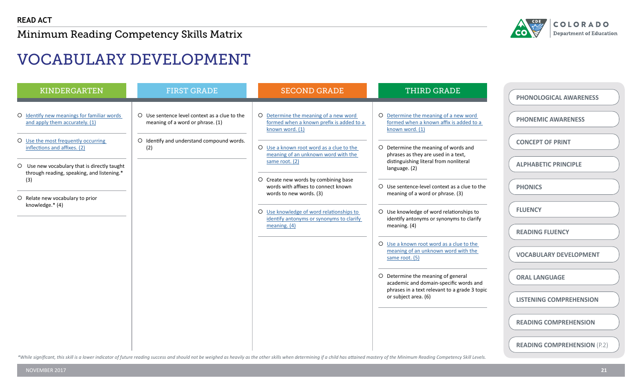

# VOCABULARY DEVELOPMENT

| <b>KINDERGARTEN</b>                                                          | <b>FIRST GRADE</b>                                                                | <b>SECOND GRADE</b>                                                                                    | <b>THIRD GRADE</b>                                                                                  | <b>PHONOLOGICAL AWARENESS</b>      |
|------------------------------------------------------------------------------|-----------------------------------------------------------------------------------|--------------------------------------------------------------------------------------------------------|-----------------------------------------------------------------------------------------------------|------------------------------------|
| O Identify new meanings for familiar words<br>and apply them accurately. (1) | O Use sentence level context as a clue to the<br>meaning of a word or phrase. (1) | O Determine the meaning of a new word<br>formed when a known prefix is added to a<br>known word. (1)   | O Determine the meaning of a new word<br>formed when a known affix is added to a<br>known word. (1) | <b>PHONEMIC AWARENESS</b>          |
| O Use the most frequently occurring<br>inflections and affixes. (2)          | O Identify and understand compound words.<br>(2)                                  | O Use a known root word as a clue to the                                                               | O Determine the meaning of words and                                                                | <b>CONCEPT OF PRINT</b>            |
| O Use new vocabulary that is directly taught                                 |                                                                                   | meaning of an unknown word with the<br>same root. (2)                                                  | phrases as they are used in a text,<br>distinguishing literal from nonliteral<br>language. (2)      | <b>ALPHABETIC PRINCIPLE</b>        |
| through reading, speaking, and listening.*<br>(3)                            |                                                                                   | O Create new words by combining base<br>words with affixes to connect known<br>words to new words. (3) | O Use sentence-level context as a clue to the<br>meaning of a word or phrase. (3)                   | <b>PHONICS</b>                     |
| O Relate new vocabulary to prior<br>knowledge.* (4)                          |                                                                                   | O Use knowledge of word relationships to<br>identify antonyms or synonyms to clarify<br>meaning. $(4)$ | O Use knowledge of word relationships to<br>identify antonyms or synonyms to clarify                | <b>FLUENCY</b>                     |
|                                                                              |                                                                                   |                                                                                                        | meaning. (4)                                                                                        | <b>READING FLUENCY</b>             |
|                                                                              |                                                                                   |                                                                                                        | O Use a known root word as a clue to the<br>meaning of an unknown word with the<br>same root. (5)   | <b>VOCABULARY DEVELOPMENT</b>      |
|                                                                              |                                                                                   |                                                                                                        | O Determine the meaning of general<br>academic and domain-specific words and                        | <b>ORAL LANGUAGE</b>               |
|                                                                              |                                                                                   |                                                                                                        | phrases in a text relevant to a grade 3 topic<br>or subject area. (6)                               | <b>LISTENING COMPREHENSION</b>     |
|                                                                              |                                                                                   |                                                                                                        |                                                                                                     | <b>READING COMPREHENSION</b>       |
|                                                                              |                                                                                   |                                                                                                        |                                                                                                     | <b>READING COMPREHENSION (P.2)</b> |

\*While significant, this skill is a lower indicator of future reading success and should not be weighed as heavily as the other skills when determining if a child has attained mastery of the Minimum Reading Competency Skil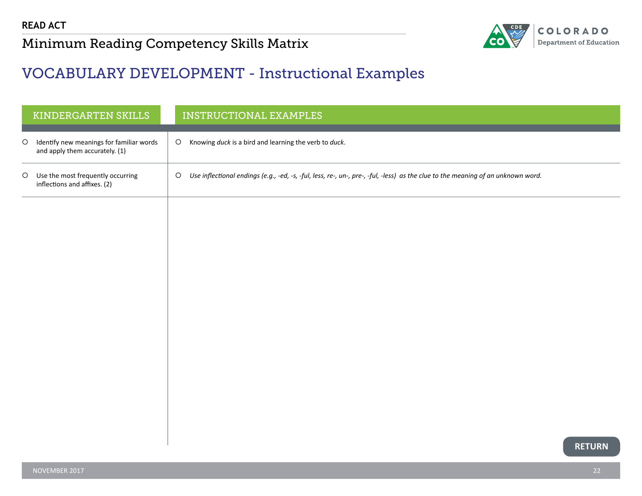

#### <span id="page-22-0"></span>VOCABULARY DEVELOPMENT - Instructional Examples

|         | KINDERGARTEN SKILLS                                                        |         | <b>INSTRUCTIONAL EXAMPLES</b>                                                                                                    |
|---------|----------------------------------------------------------------------------|---------|----------------------------------------------------------------------------------------------------------------------------------|
| $\circ$ | Identify new meanings for familiar words<br>and apply them accurately. (1) | $\circ$ | Knowing duck is a bird and learning the verb to duck.                                                                            |
| $\circ$ | Use the most frequently occurring<br>inflections and affixes. (2)          | $\circ$ | Use inflectional endings (e.g., -ed, -s, -ful, less, re-, un-, pre-, -ful, -less) as the clue to the meaning of an unknown word. |
|         |                                                                            |         |                                                                                                                                  |
|         |                                                                            |         |                                                                                                                                  |
|         |                                                                            |         |                                                                                                                                  |
|         |                                                                            |         |                                                                                                                                  |
|         |                                                                            |         |                                                                                                                                  |
|         |                                                                            |         |                                                                                                                                  |
|         |                                                                            |         |                                                                                                                                  |
|         |                                                                            |         | <b>RETURN</b>                                                                                                                    |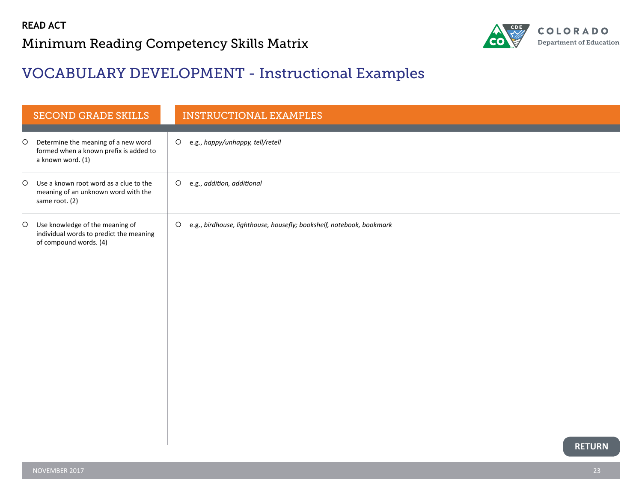

#### <span id="page-23-0"></span>VOCABULARY DEVELOPMENT - Instructional Examples

|         | <b>SECOND GRADE SKILLS</b>                                                                             | <b>INSTRUCTIONAL EXAMPLES</b>                                                   |
|---------|--------------------------------------------------------------------------------------------------------|---------------------------------------------------------------------------------|
| $\circ$ | Determine the meaning of a new word<br>formed when a known prefix is added to<br>a known word. (1)     | O e.g., happy/unhappy, tell/retell                                              |
| $\circ$ | Use a known root word as a clue to the<br>meaning of an unknown word with the<br>same root. (2)        | e.g., addition, additional<br>$\circ$                                           |
|         | O Use knowledge of the meaning of<br>individual words to predict the meaning<br>of compound words. (4) | e.g., birdhouse, lighthouse, housefly; bookshelf, notebook, bookmark<br>$\circ$ |
|         |                                                                                                        |                                                                                 |
|         |                                                                                                        |                                                                                 |
|         |                                                                                                        |                                                                                 |
|         |                                                                                                        |                                                                                 |
|         |                                                                                                        |                                                                                 |
|         |                                                                                                        |                                                                                 |
|         |                                                                                                        | <b>RETURN</b>                                                                   |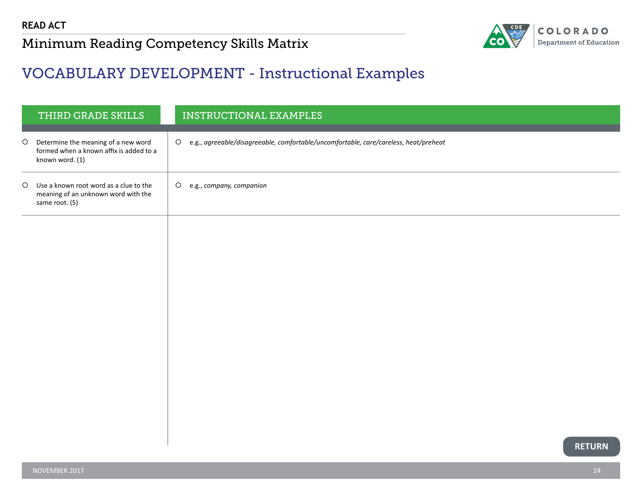

#### <span id="page-24-0"></span>VOCABULARY DEVELOPMENT - Instructional Examples

|         | THIRD GRADE SKILLS                                                                                |         | <b>INSTRUCTIONAL EXAMPLES</b>                                                          |
|---------|---------------------------------------------------------------------------------------------------|---------|----------------------------------------------------------------------------------------|
| $\circ$ | Determine the meaning of a new word<br>formed when a known affix is added to a<br>known word. (1) |         | O e.g., agreeable/disagreeable, comfortable/uncomfortable, care/careless, heat/preheat |
| $\circ$ | Use a known root word as a clue to the<br>meaning of an unknown word with the<br>same root. (5)   | $\circ$ | e.g., company, companion                                                               |
|         |                                                                                                   |         |                                                                                        |
|         |                                                                                                   |         |                                                                                        |
|         |                                                                                                   |         |                                                                                        |
|         |                                                                                                   |         |                                                                                        |
|         |                                                                                                   |         |                                                                                        |
|         |                                                                                                   |         |                                                                                        |
|         |                                                                                                   |         |                                                                                        |
|         |                                                                                                   |         |                                                                                        |
|         |                                                                                                   |         | <b>RETURN</b>                                                                          |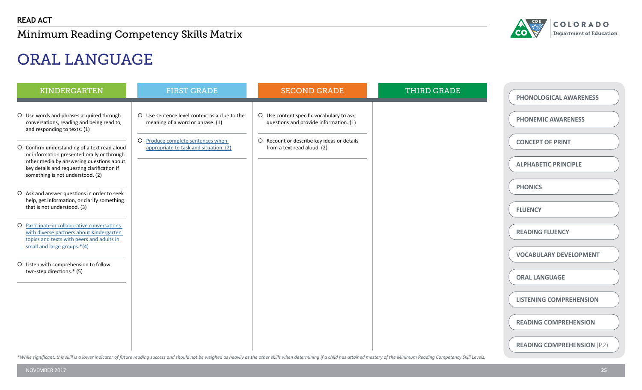

# ORAL LANGUAGE

| <b>KINDERGARTEN</b>                                                                                                                                                                                                       | <b>FIRST GRADE</b>                                                                | <b>SECOND GRADE</b>                                                                | THIRD GRADE | PHONOLOGICAL AWARENESS                                 |
|---------------------------------------------------------------------------------------------------------------------------------------------------------------------------------------------------------------------------|-----------------------------------------------------------------------------------|------------------------------------------------------------------------------------|-------------|--------------------------------------------------------|
| O Use words and phrases acquired through<br>conversations, reading and being read to,<br>and responding to texts. (1)                                                                                                     | O Use sentence level context as a clue to the<br>meaning of a word or phrase. (1) | O Use content specific vocabulary to ask<br>questions and provide information. (1) |             | <b>PHONEMIC AWARENESS</b>                              |
| O Confirm understanding of a text read aloud<br>or information presented orally or through<br>other media by answering questions about<br>key details and requesting clarification if<br>something is not understood. (2) | O Produce complete sentences when<br>appropriate to task and situation. (2)       | O Recount or describe key ideas or details<br>from a text read aloud. (2)          |             | <b>CONCEPT OF PRINT</b><br><b>ALPHABETIC PRINCIPLE</b> |
| O Ask and answer questions in order to seek<br>help, get information, or clarify something<br>that is not understood. (3)                                                                                                 |                                                                                   |                                                                                    |             | <b>PHONICS</b><br><b>FLUENCY</b>                       |
| O Participate in collaborative conversations<br>with diverse partners about Kindergarten<br>topics and texts with peers and adults in<br>small and large groups.*(4)                                                      |                                                                                   |                                                                                    |             | <b>READING FLUENCY</b>                                 |
| O Listen with comprehension to follow<br>two-step directions.* (5)                                                                                                                                                        |                                                                                   |                                                                                    |             | <b>VOCABULARY DEVELOPMENT</b><br><b>ORAL LANGUAGE</b>  |
|                                                                                                                                                                                                                           |                                                                                   |                                                                                    |             | <b>LISTENING COMPREHENSION</b>                         |
|                                                                                                                                                                                                                           |                                                                                   |                                                                                    |             | <b>READING COMPREHENSION</b>                           |
|                                                                                                                                                                                                                           |                                                                                   |                                                                                    |             | <b>READING COMPREHENSION (P.2)</b>                     |

\*While significant, this skill is a lower indicator of future reading success and should not be weighed as heavily as the other skills when determining if a child has attained mastery of the Minimum Reading Competency Skil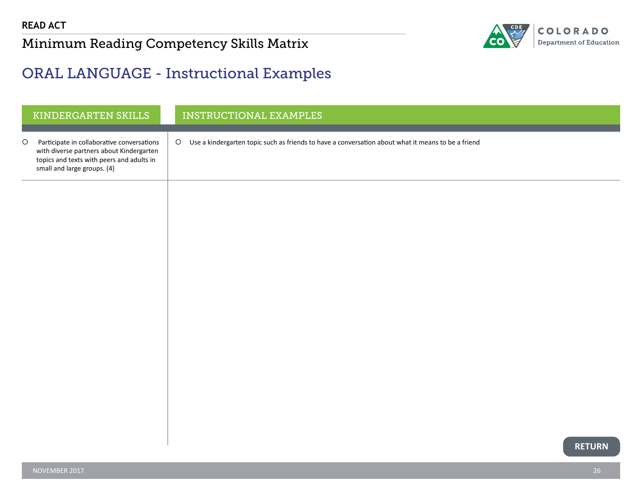

#### <span id="page-26-0"></span>ORAL LANGUAGE - Instructional Examples

|         | KINDERGARTEN SKILLS                                                                                                                                                | INSTRUCTIONAL EXAMPLES                                                                               |
|---------|--------------------------------------------------------------------------------------------------------------------------------------------------------------------|------------------------------------------------------------------------------------------------------|
| $\circ$ | Participate in collaborative conversations<br>with diverse partners about Kindergarten<br>topics and texts with peers and adults in<br>small and large groups. (4) | O Use a kindergarten topic such as friends to have a conversation about what it means to be a friend |
|         |                                                                                                                                                                    |                                                                                                      |
|         |                                                                                                                                                                    |                                                                                                      |
|         |                                                                                                                                                                    |                                                                                                      |
|         |                                                                                                                                                                    |                                                                                                      |
|         |                                                                                                                                                                    |                                                                                                      |
|         |                                                                                                                                                                    |                                                                                                      |
|         |                                                                                                                                                                    |                                                                                                      |
|         |                                                                                                                                                                    |                                                                                                      |
|         |                                                                                                                                                                    | <b>RETURN</b>                                                                                        |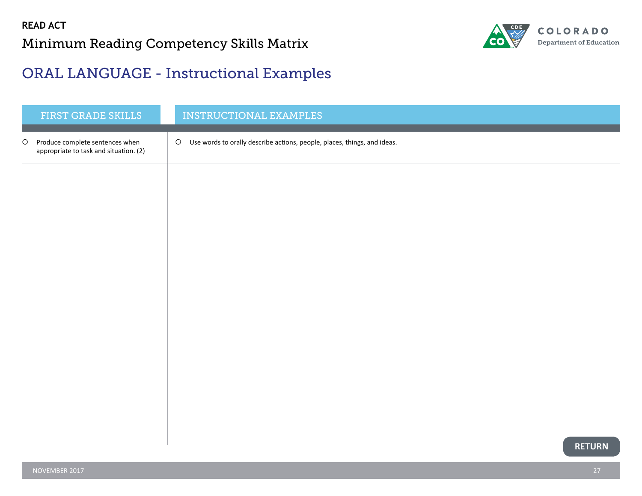

#### <span id="page-27-0"></span>ORAL LANGUAGE - Instructional Examples

|         | FIRST GRADE SKILLS                                                        | INSTRUCTIONAL EXAMPLES                                                              |
|---------|---------------------------------------------------------------------------|-------------------------------------------------------------------------------------|
| $\circ$ | Produce complete sentences when<br>appropriate to task and situation. (2) | $\circ$<br>Use words to orally describe actions, people, places, things, and ideas. |
|         |                                                                           |                                                                                     |
|         |                                                                           |                                                                                     |
|         |                                                                           |                                                                                     |
|         |                                                                           |                                                                                     |
|         |                                                                           |                                                                                     |
|         |                                                                           |                                                                                     |
|         |                                                                           |                                                                                     |
|         |                                                                           |                                                                                     |
|         |                                                                           |                                                                                     |
|         |                                                                           | <b>RETURN</b>                                                                       |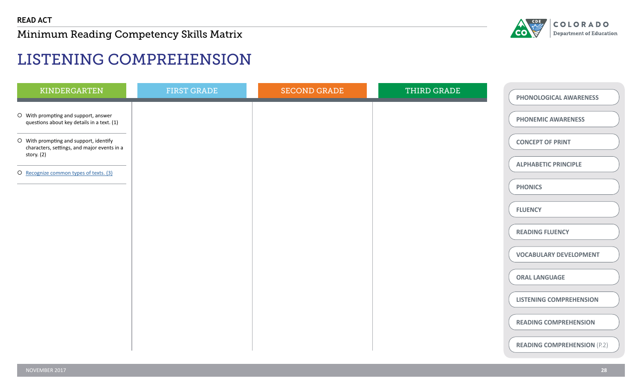

# LISTENING COMPREHENSION

| KINDERGARTEN                                                                                        | <b>FIRST GRADE</b> | <b>SECOND GRADE</b> | THIRD GRADE | PHONOLOGICAL AWARENESS             |
|-----------------------------------------------------------------------------------------------------|--------------------|---------------------|-------------|------------------------------------|
| O With prompting and support, answer<br>questions about key details in a text. (1)                  |                    |                     |             | <b>PHONEMIC AWARENESS</b>          |
| O With prompting and support, identify<br>characters, settings, and major events in a<br>story. (2) |                    |                     |             | <b>CONCEPT OF PRINT</b>            |
| O Recognize common types of texts. (3)                                                              |                    |                     |             | <b>ALPHABETIC PRINCIPLE</b>        |
|                                                                                                     |                    |                     |             | <b>PHONICS</b>                     |
|                                                                                                     |                    |                     |             | <b>FLUENCY</b>                     |
|                                                                                                     |                    |                     |             | <b>READING FLUENCY</b>             |
|                                                                                                     |                    |                     |             | <b>VOCABULARY DEVELOPMENT</b>      |
|                                                                                                     |                    |                     |             | <b>ORAL LANGUAGE</b>               |
|                                                                                                     |                    |                     |             | <b>LISTENING COMPREHENSION</b>     |
|                                                                                                     |                    |                     |             | <b>READING COMPREHENSION</b>       |
|                                                                                                     |                    |                     |             | <b>READING COMPREHENSION (P.2)</b> |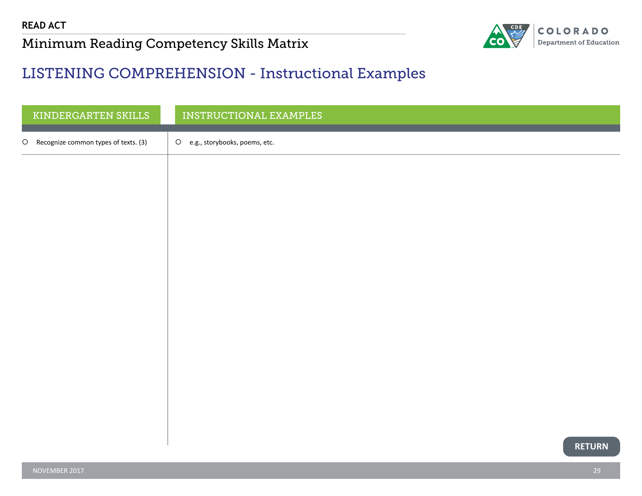

#### <span id="page-29-0"></span>LISTENING COMPREHENSION - Instructional Examples

| KINDERGARTEN SKILLS                             | INSTRUCTIONAL EXAMPLES                   |
|-------------------------------------------------|------------------------------------------|
| Recognize common types of texts. (3)<br>$\circ$ | $\circ$<br>e.g., storybooks, poems, etc. |
|                                                 |                                          |
|                                                 |                                          |
|                                                 |                                          |
|                                                 |                                          |
|                                                 |                                          |
|                                                 |                                          |
|                                                 |                                          |
|                                                 |                                          |
|                                                 |                                          |
|                                                 |                                          |
|                                                 |                                          |
|                                                 | <b>RETURN</b>                            |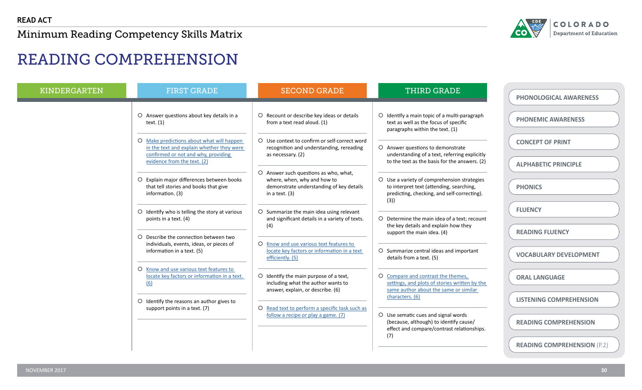

# READING COMPREHENSION

| <b>KINDERGARTEN</b> | <b>FIRST GRADE</b>                                                                                                            | <b>SECOND GRADE</b>                                                                                               | <b>THIRD GRADE</b>                                                                                                                 | <b>PHONOLOGICAL AWARENESS</b>      |
|---------------------|-------------------------------------------------------------------------------------------------------------------------------|-------------------------------------------------------------------------------------------------------------------|------------------------------------------------------------------------------------------------------------------------------------|------------------------------------|
|                     | O Answer questions about key details in a<br>text. $(1)$                                                                      | O Recount or describe key ideas or details<br>from a text read aloud. (1)                                         | O Identify a main topic of a multi-paragraph<br>text as well as the focus of specific<br>paragraphs within the text. (1)           | <b>PHONEMIC AWARENESS</b>          |
|                     | O Make predictions about what will happen<br>in the text and explain whether they were<br>confirmed or not and why, providing | O Use context to confirm or self-correct word<br>recognition and understanding, rereading<br>as necessary. (2)    | O Answer questions to demonstrate<br>understanding of a text, referring explicitly                                                 | <b>CONCEPT OF PRINT</b>            |
|                     | evidence from the text. (2)<br>O Explain major differences between books                                                      | O Answer such questions as who, what,<br>where, when, why and how to                                              | to the text as the basis for the answers. (2)<br>O Use a variety of comprehension strategies                                       | <b>ALPHABETIC PRINCIPLE</b>        |
|                     | that tell stories and books that give<br>information. (3)                                                                     | demonstrate understanding of key details<br>in a text. (3)                                                        | to interpret text (attending, searching,<br>predicting, checking, and self-correcting).<br>(3)                                     | <b>PHONICS</b>                     |
|                     | O Identify who is telling the story at various<br>points in a text. (4)                                                       | O Summarize the main idea using relevant<br>and significant details in a variety of texts.                        | O Determine the main idea of a text; recount                                                                                       | <b>FLUENCY</b>                     |
|                     | O Describe the connection between two<br>individuals, events, ideas, or pieces of                                             | (4)<br>O Know and use various text features to                                                                    | the key details and explain how they<br>support the main idea. (4)                                                                 | <b>READING FLUENCY</b>             |
|                     | information in a text. (5)                                                                                                    | locate key factors or information in a text<br>efficiently. (5)                                                   | O Summarize central ideas and important<br>details from a text. (5)                                                                | <b>VOCABULARY DEVELOPMENT</b>      |
|                     | O Know and use various text features to<br>locate key factors or information in a text.<br>(6)                                | O Identify the main purpose of a text,<br>including what the author wants to<br>answer, explain, or describe. (6) | O Compare and contrast the themes,<br>settings, and plots of stories written by the<br>same author about the same or similar       | <b>ORAL LANGUAGE</b>               |
|                     | O Identify the reasons an author gives to<br>support points in a text. (7)                                                    | O Read text to perform a specific task such as                                                                    | characters. (6)                                                                                                                    | <b>LISTENING COMPREHENSION</b>     |
|                     |                                                                                                                               | follow a recipe or play a game. (7)                                                                               | O Use sematic cues and signal words<br>(because, although) to identify cause/<br>effect and compare/contrast relationships.<br>(7) | <b>READING COMPREHENSION</b>       |
|                     |                                                                                                                               |                                                                                                                   |                                                                                                                                    | <b>READING COMPREHENSION (P.2)</b> |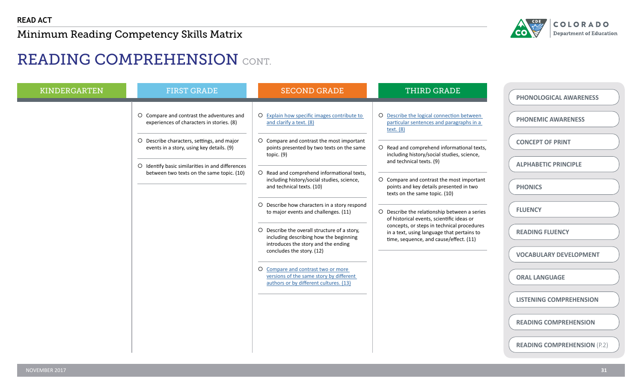

# READING COMPREHENSION CONT.

| <b>KINDERGARTEN</b> | <b>FIRST GRADE</b>                                                                                                                                                                                                                                                                 | <b>SECOND GRADE</b>                                                                                                                                                                                                                                                                                                                                                                                                                                                                                                                                           | <b>THIRD GRADE</b>                                                                                                                                                                                                                                                                                                                                                                                                                                                                                                                                                                       | <b>PHONOLOGICAL AWARENESS</b>                                                                                                                                                      |
|---------------------|------------------------------------------------------------------------------------------------------------------------------------------------------------------------------------------------------------------------------------------------------------------------------------|---------------------------------------------------------------------------------------------------------------------------------------------------------------------------------------------------------------------------------------------------------------------------------------------------------------------------------------------------------------------------------------------------------------------------------------------------------------------------------------------------------------------------------------------------------------|------------------------------------------------------------------------------------------------------------------------------------------------------------------------------------------------------------------------------------------------------------------------------------------------------------------------------------------------------------------------------------------------------------------------------------------------------------------------------------------------------------------------------------------------------------------------------------------|------------------------------------------------------------------------------------------------------------------------------------------------------------------------------------|
|                     | O Compare and contrast the adventures and<br>experiences of characters in stories. (8)<br>O Describe characters, settings, and major<br>events in a story, using key details. (9)<br>O Identify basic similarities in and differences<br>between two texts on the same topic. (10) | O Explain how specific images contribute to<br>and clarify a text. (8)<br>O Compare and contrast the most important<br>points presented by two texts on the same<br>topic. (9)<br>O Read and comprehend informational texts,<br>including history/social studies, science,<br>and technical texts. (10)<br>O Describe how characters in a story respond<br>to major events and challenges. (11)<br>O Describe the overall structure of a story,<br>including describing how the beginning<br>introduces the story and the ending<br>concludes the story. (12) | O Describe the logical connection between<br>particular sentences and paragraphs in a<br>text. $(8)$<br>O Read and comprehend informational texts,<br>including history/social studies, science,<br>and technical texts. (9)<br>O Compare and contrast the most important<br>points and key details presented in two<br>texts on the same topic. (10)<br>O Describe the relationship between a series<br>of historical events, scientific ideas or<br>concepts, or steps in technical procedures<br>in a text, using language that pertains to<br>time, sequence, and cause/effect. (11) | <b>PHONEMIC AWARENESS</b><br><b>CONCEPT OF PRINT</b><br><b>ALPHABETIC PRINCIPLE</b><br><b>PHONICS</b><br><b>FLUENCY</b><br><b>READING FLUENCY</b><br><b>VOCABULARY DEVELOPMENT</b> |
|                     |                                                                                                                                                                                                                                                                                    | O Compare and contrast two or more<br>versions of the same story by different<br>authors or by different cultures. (13)                                                                                                                                                                                                                                                                                                                                                                                                                                       |                                                                                                                                                                                                                                                                                                                                                                                                                                                                                                                                                                                          | <b>ORAL LANGUAGE</b>                                                                                                                                                               |
|                     |                                                                                                                                                                                                                                                                                    |                                                                                                                                                                                                                                                                                                                                                                                                                                                                                                                                                               |                                                                                                                                                                                                                                                                                                                                                                                                                                                                                                                                                                                          | <b>LISTENING COMPREHENSION</b>                                                                                                                                                     |
|                     |                                                                                                                                                                                                                                                                                    |                                                                                                                                                                                                                                                                                                                                                                                                                                                                                                                                                               |                                                                                                                                                                                                                                                                                                                                                                                                                                                                                                                                                                                          | <b>READING COMPREHENSION</b>                                                                                                                                                       |
|                     |                                                                                                                                                                                                                                                                                    |                                                                                                                                                                                                                                                                                                                                                                                                                                                                                                                                                               |                                                                                                                                                                                                                                                                                                                                                                                                                                                                                                                                                                                          | <b>READING COMPREHENSION (P.2)</b>                                                                                                                                                 |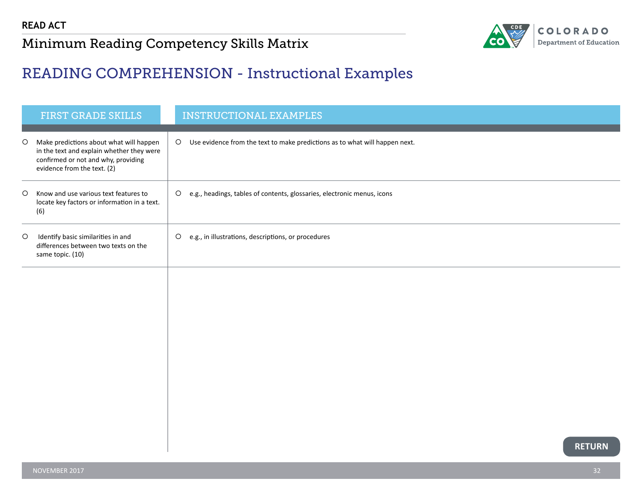

### <span id="page-32-0"></span>READING COMPREHENSION - Instructional Examples

|         | <b>FIRST GRADE SKILLS</b>                                                                                                                                  |         | <b>INSTRUCTIONAL EXAMPLES</b>                                               |
|---------|------------------------------------------------------------------------------------------------------------------------------------------------------------|---------|-----------------------------------------------------------------------------|
| $\circ$ | Make predictions about what will happen<br>in the text and explain whether they were<br>confirmed or not and why, providing<br>evidence from the text. (2) | $\circ$ | Use evidence from the text to make predictions as to what will happen next. |
| $\circ$ | Know and use various text features to<br>locate key factors or information in a text.<br>(6)                                                               | $\circ$ | e.g., headings, tables of contents, glossaries, electronic menus, icons     |
| $\circ$ | Identify basic similarities in and<br>differences between two texts on the<br>same topic. (10)                                                             | $\circ$ | e.g., in illustrations, descriptions, or procedures                         |
|         |                                                                                                                                                            |         |                                                                             |
|         |                                                                                                                                                            |         |                                                                             |
|         |                                                                                                                                                            |         |                                                                             |
|         |                                                                                                                                                            |         |                                                                             |
|         |                                                                                                                                                            |         |                                                                             |
|         |                                                                                                                                                            |         | <b>RETURN</b>                                                               |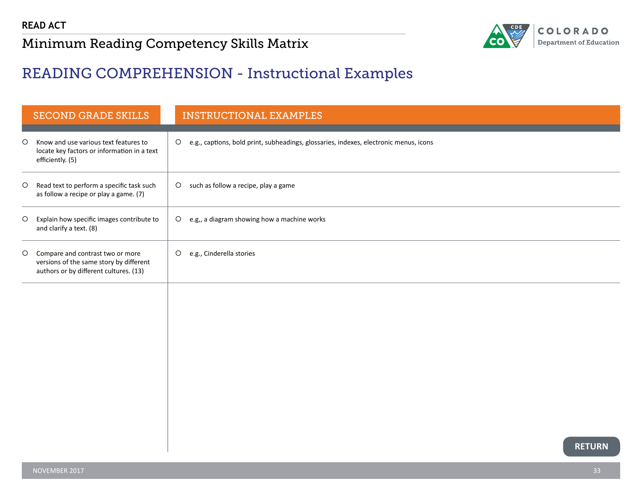

#### <span id="page-33-0"></span>READING COMPREHENSION - Instructional Examples

|         | <b>SECOND GRADE SKILLS</b>                                                                                            | <b>INSTRUCTIONAL EXAMPLES</b>                                                                    |
|---------|-----------------------------------------------------------------------------------------------------------------------|--------------------------------------------------------------------------------------------------|
| $\circ$ | Know and use various text features to<br>locate key factors or information in a text<br>efficiently. (5)              | e.g., captions, bold print, subheadings, glossaries, indexes, electronic menus, icons<br>$\circ$ |
| $\circ$ | Read text to perform a specific task such<br>as follow a recipe or play a game. (7)                                   | O such as follow a recipe, play a game                                                           |
| $\circ$ | Explain how specific images contribute to<br>and clarify a text. (8)                                                  | O e.g,, a diagram showing how a machine works                                                    |
| $\circ$ | Compare and contrast two or more<br>versions of the same story by different<br>authors or by different cultures. (13) | $\circ$<br>e.g., Cinderella stories                                                              |
|         |                                                                                                                       |                                                                                                  |
|         |                                                                                                                       |                                                                                                  |
|         |                                                                                                                       |                                                                                                  |
|         |                                                                                                                       |                                                                                                  |
|         |                                                                                                                       | <b>RETURN</b>                                                                                    |